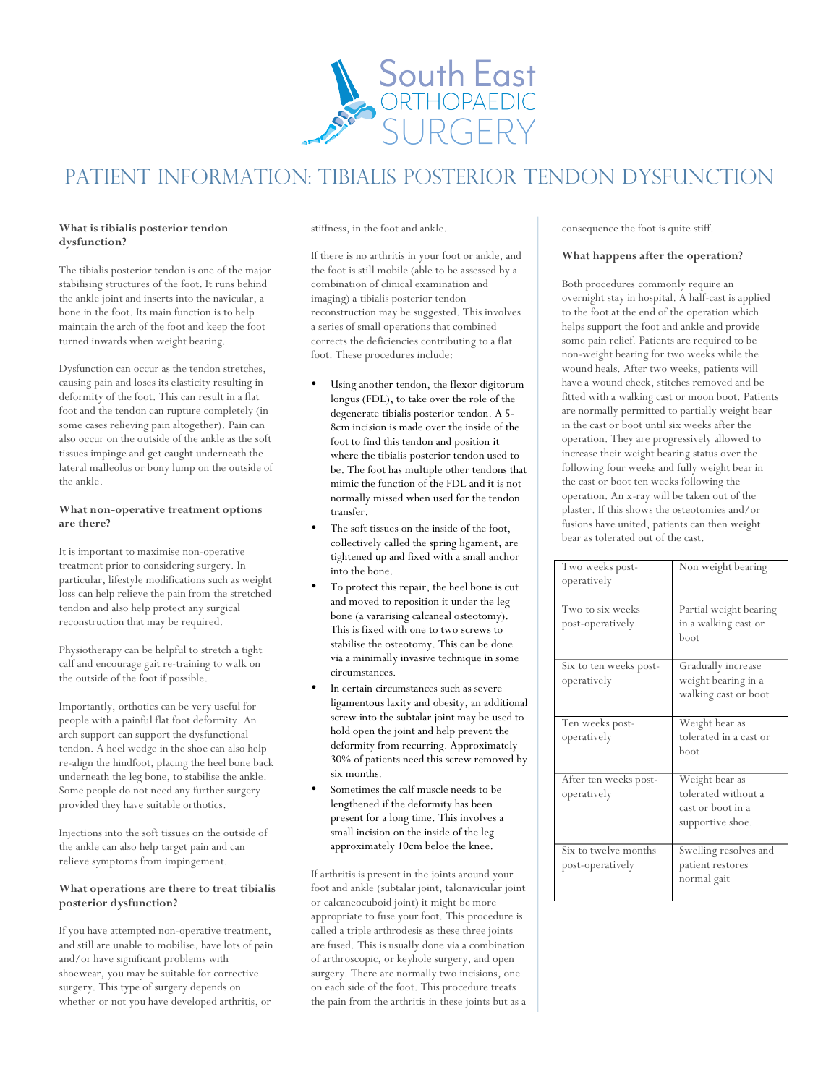

# Patient information: tibialis posterior tendon dysfunction

## **What is tibialis posterior tendon dysfunction?**

The tibialis posterior tendon is one of the major stabilising structures of the foot. It runs behind the ankle joint and inserts into the navicular, a bone in the foot. Its main function is to help maintain the arch of the foot and keep the foot turned inwards when weight bearing.

Dysfunction can occur as the tendon stretches, causing pain and loses its elasticity resulting in deformity of the foot. This can result in a flat foot and the tendon can rupture completely (in some cases relieving pain altogether). Pain can also occur on the outside of the ankle as the soft tissues impinge and get caught underneath the lateral malleolus or bony lump on the outside of the ankle.

#### **What non-operative treatment options are there?**

It is important to maximise non-operative treatment prior to considering surgery. In particular, lifestyle modifications such as weight loss can help relieve the pain from the stretched tendon and also help protect any surgical reconstruction that may be required.

Physiotherapy can be helpful to stretch a tight calf and encourage gait re-training to walk on the outside of the foot if possible.

Importantly, orthotics can be very useful for people with a painful flat foot deformity. An arch support can support the dysfunctional tendon. A heel wedge in the shoe can also help re-align the hindfoot, placing the heel bone back underneath the leg bone, to stabilise the ankle. Some people do not need any further surgery provided they have suitable orthotics.

Injections into the soft tissues on the outside of the ankle can also help target pain and can relieve symptoms from impingement.

### **What operations are there to treat tibialis posterior dysfunction?**

If you have attempted non-operative treatment, and still are unable to mobilise, have lots of pain and/or have significant problems with shoewear, you may be suitable for corrective surgery. This type of surgery depends on whether or not you have developed arthritis, or

stiffness, in the foot and ankle.

If there is no arthritis in your foot or ankle, and the foot is still mobile (able to be assessed by a combination of clinical examination and imaging) a tibialis posterior tendon reconstruction may be suggested. This involves a series of small operations that combined corrects the deficiencies contributing to a flat foot. These procedures include:

- Using another tendon, the flexor digitorum longus (FDL), to take over the role of the degenerate tibialis posterior tendon. A 5- 8cm incision is made over the inside of the foot to find this tendon and position it where the tibialis posterior tendon used to be. The foot has multiple other tendons that mimic the function of the FDL and it is not normally missed when used for the tendon transfer.
- The soft tissues on the inside of the foot, collectively called the spring ligament, are tightened up and fixed with a small anchor into the bone.
- To protect this repair, the heel bone is cut and moved to reposition it under the leg bone (a vararising calcaneal osteotomy). This is fixed with one to two screws to stabilise the osteotomy. This can be done via a minimally invasive technique in some circumstances.
- In certain circumstances such as severe ligamentous laxity and obesity, an additional screw into the subtalar joint may be used to hold open the joint and help prevent the deformity from recurring. Approximately 30% of patients need this screw removed by six months.
	- Sometimes the calf muscle needs to be lengthened if the deformity has been present for a long time. This involves a small incision on the inside of the leg approximately 10cm beloe the knee.

If arthritis is present in the joints around your foot and ankle (subtalar joint, talonavicular joint or calcaneocuboid joint) it might be more appropriate to fuse your foot. This procedure is called a triple arthrodesis as these three joints are fused. This is usually done via a combination of arthroscopic, or keyhole surgery, and open surgery. There are normally two incisions, one on each side of the foot. This procedure treats the pain from the arthritis in these joints but as a consequence the foot is quite stiff.

### **What happens after the operation?**

Both procedures commonly require an overnight stay in hospital. A half-cast is applied to the foot at the end of the operation which helps support the foot and ankle and provide some pain relief. Patients are required to be non-weight bearing for two weeks while the wound heals. After two weeks, patients will have a wound check, stitches removed and be fitted with a walking cast or moon boot. Patients are normally permitted to partially weight bear in the cast or boot until six weeks after the operation. They are progressively allowed to increase their weight bearing status over the following four weeks and fully weight bear in the cast or boot ten weeks following the operation. An x-ray will be taken out of the plaster. If this shows the osteotomies and/or fusions have united, patients can then weight bear as tolerated out of the cast.

| Two weeks post-<br>operatively           | Non weight bearing                                                             |
|------------------------------------------|--------------------------------------------------------------------------------|
| Two to six weeks<br>post-operatively     | Partial weight bearing<br>in a walking cast or<br>boot                         |
| Six to ten weeks post-<br>operatively    | Gradually increase<br>weight bearing in a<br>walking cast or boot              |
| Ten weeks post-<br>operatively           | Weight bear as<br>tolerated in a cast or<br>boot                               |
| After ten weeks post-<br>operatively     | Weight bear as<br>tolerated without a<br>cast or boot in a<br>supportive shoe. |
| Six to twelve months<br>post-operatively | Swelling resolves and<br>patient restores<br>normal gait                       |